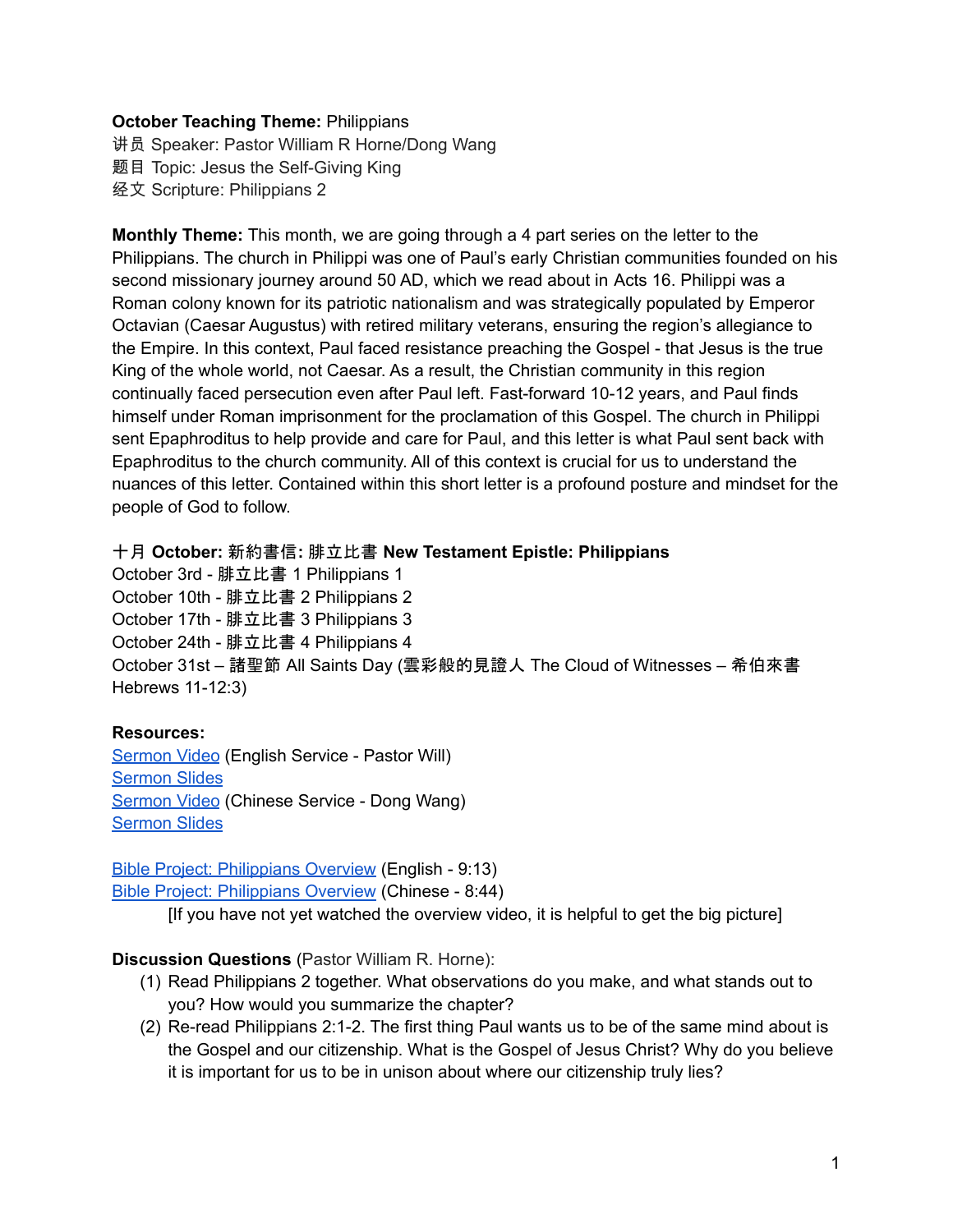## **October Teaching Theme:** Philippians

讲员 Speaker: Pastor William R Horne/Dong Wang 题目 Topic: Jesus the Self-Giving King 经文 Scripture: Philippians 2

<span id="page-0-0"></span>**Monthly Theme:** This month, we are going through a 4 part series on the letter to the Philippians. The church in Philippi was one of Paul's early Christian communities founded on his second missionary journey around 50 AD, which we read about in [A](https://ref.ly/logosref/bible$2Bniv.65.16)cts 16. Philippi was a Roman colony known for its patriotic nationalism and was strategically populated by Emperor Octavian (Caesar Augustus) with retired military veterans, ensuring the region's allegiance to the Empire. In this context, Paul faced resistance preaching the Gospel - that Jesus is the true King of the whole world, not Caesar. As a result, the Christian community in this region continually faced persecution even after Paul left. Fast-forward 10-12 years, and Paul finds himself under Roman imprisonment for the proclamation of this Gospel. The church in Philippi sent Epaphroditus to help provide and care for Paul, and this letter is what Paul sent back with Epaphroditus to the church community. All of this context is crucial for us to understand the nuances of this letter. Contained within this short letter is a profound posture and mindset for the people of God to follow.

### 十月 **October:** 新約書信**:** 腓立比書 **New Testament Epistle: Philippians**

October 3rd - 腓立比書 1 Philippians 1 October 10th - 腓立比書 2 Philippians 2 October 17th - 腓立比書 3 Philippians 3 October 24th - 腓立比書 4 Philippians 4 October 31st – 諸聖節 All Saints Day (雲彩般的見證人 The Cloud of Witnesses – 希伯來書 Hebrews 11-12:3)

## **Resources:**

[Sermon](https://www.youtube.com/watch?v=SVp_t0hSwTs) Video (English Service - Pastor Will) [Sermon](https://docs.google.com/presentation/d/14pvLHAaVzach1-c7FRuAadijC8OHtDqwXiR7LHld6jk/edit?usp=sharing) Slides [Sermon](https://www.youtube.com/watch?v=KUgPz-afJh8) Video (Chinese Service - Dong Wang) [Sermon](https://docs.google.com/presentation/d/1lDEU3XVACFZ8u4ZTF7DHfgEXzbD34Ads/edit?usp=sharing&ouid=111022305003760555164&rtpof=true&sd=true) Slides

Bible Project: [Philippians](https://bibleproject.com/explore/video/philippians/) Overview (English - 9:13) Bible Project: [Philippians](https://www.youtube.com/watch?v=Yjgj7Lfm6vM&list=PLE-R0uydm0uMPY7cu-kuEkcPHAM0M9Cby&index=16) Overview (Chinese - 8:44)

[If you have not yet watched the overview video, it is helpful to get the big picture]

## **Discussion Questions** (Pastor William R. Horne):

- (1) Read Philippians 2 together. What observations do you make, and what stands out to you? How would you summarize the chapter?
- (2) Re-read Philippians 2:1-2. The first thing Paul wants us to be of the same mind about is the Gospel and our citizenship. What is the Gospel of Jesus Christ? Why do you believe it is important for us to be in unison about where our citizenship truly lies?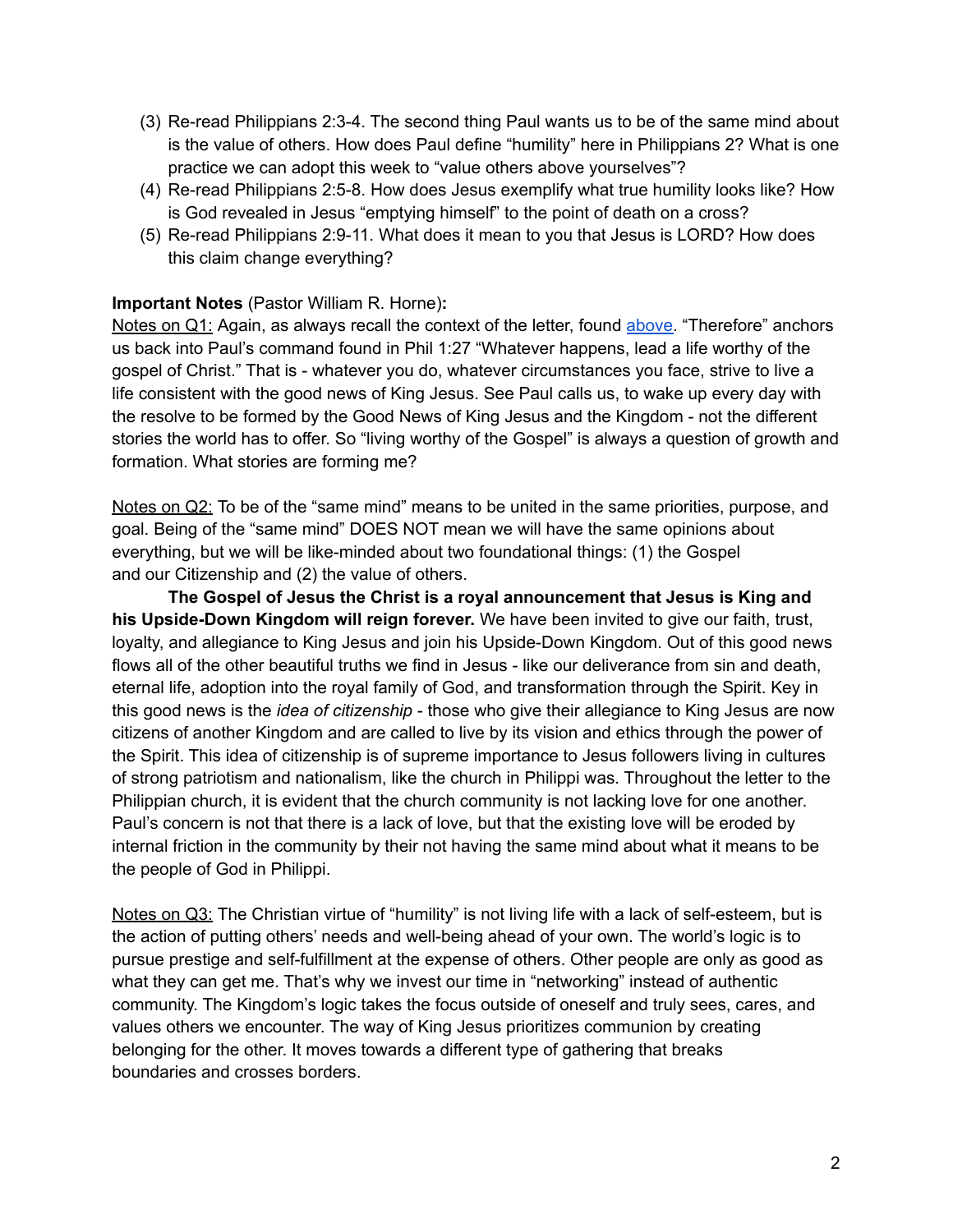- (3) Re-read Philippians 2:3-4. The second thing Paul wants us to be of the same mind about is the value of others. How does Paul define "humility" here in Philippians 2? What is one practice we can adopt this week to "value others above yourselves"?
- (4) Re-read Philippians 2:5-8. How does Jesus exemplify what true humility looks like? How is God revealed in Jesus "emptying himself" to the point of death on a cross?
- (5) Re-read Philippians 2:9-11. What does it mean to you that Jesus is LORD? How does this claim change everything?

# **Important Notes** (Pastor William R. Horne)**:**

Notes on Q1: Again, as always recall the context of the letter, found [above.](#page-0-0) "Therefore" anchors us back into Paul's command found in Phil 1:27 "Whatever happens, lead a life worthy of the gospel of Christ." That is - whatever you do, whatever circumstances you face, strive to live a life consistent with the good news of King Jesus. See Paul calls us, to wake up every day with the resolve to be formed by the Good News of King Jesus and the Kingdom - not the different stories the world has to offer. So "living worthy of the Gospel" is always a question of growth and formation. What stories are forming me?

Notes on Q2: To be of the "same mind" means to be united in the same priorities, purpose, and goal. Being of the "same mind" DOES NOT mean we will have the same opinions about everything, but we will be like-minded about two foundational things: (1) the Gospel and our Citizenship and (2) the value of others.

**The Gospel of Jesus the Christ is a royal announcement that Jesus is King and his Upside-Down Kingdom will reign forever.** We have been invited to give our faith, trust, loyalty, and allegiance to King Jesus and join his Upside-Down Kingdom. Out of this good news flows all of the other beautiful truths we find in Jesus - like our deliverance from sin and death, eternal life, adoption into the royal family of God, and transformation through the Spirit. Key in this good news is the *idea of citizenship* - those who give their allegiance to King Jesus are now citizens of another Kingdom and are called to live by its vision and ethics through the power of the Spirit. This idea of citizenship is of supreme importance to Jesus followers living in cultures of strong patriotism and nationalism, like the church in Philippi was. Throughout the letter to the Philippian church, it is evident that the church community is not lacking love for one another. Paul's concern is not that there is a lack of love, but that the existing love will be eroded by internal friction in the community by their not having the same mind about what it means to be the people of God in Philippi.

Notes on Q3: The Christian virtue of "humility" is not living life with a lack of self-esteem, but is the action of putting others' needs and well-being ahead of your own. The world's logic is to pursue prestige and self-fulfillment at the expense of others. Other people are only as good as what they can get me. That's why we invest our time in "networking" instead of authentic community. The Kingdom's logic takes the focus outside of oneself and truly sees, cares, and values others we encounter. The way of King Jesus prioritizes communion by creating belonging for the other. It moves towards a different type of gathering that breaks boundaries and crosses borders.